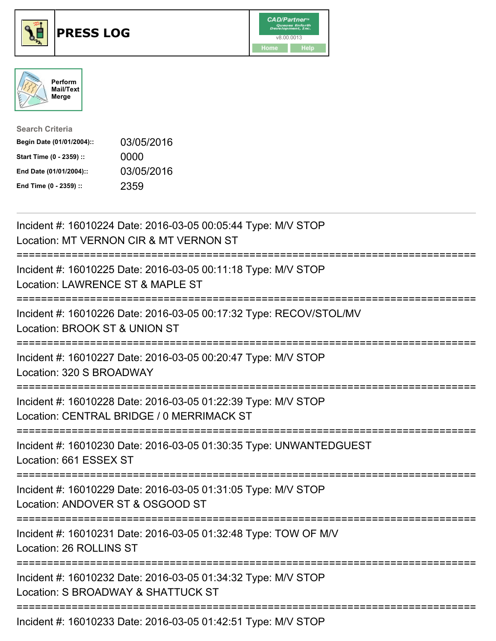





| <b>Search Criteria</b>    |            |
|---------------------------|------------|
| Begin Date (01/01/2004):: | 03/05/2016 |
| Start Time (0 - 2359) ::  | 0000       |
| End Date (01/01/2004)::   | 03/05/2016 |
| End Time (0 - 2359) ::    | 2359       |

| Incident #: 16010224 Date: 2016-03-05 00:05:44 Type: M/V STOP<br>Location: MT VERNON CIR & MT VERNON ST    |
|------------------------------------------------------------------------------------------------------------|
| Incident #: 16010225 Date: 2016-03-05 00:11:18 Type: M/V STOP<br>Location: LAWRENCE ST & MAPLE ST          |
| Incident #: 16010226 Date: 2016-03-05 00:17:32 Type: RECOV/STOL/MV<br>Location: BROOK ST & UNION ST        |
| Incident #: 16010227 Date: 2016-03-05 00:20:47 Type: M/V STOP<br>Location: 320 S BROADWAY                  |
| Incident #: 16010228 Date: 2016-03-05 01:22:39 Type: M/V STOP<br>Location: CENTRAL BRIDGE / 0 MERRIMACK ST |
| Incident #: 16010230 Date: 2016-03-05 01:30:35 Type: UNWANTEDGUEST<br>Location: 661 ESSEX ST               |
| Incident #: 16010229 Date: 2016-03-05 01:31:05 Type: M/V STOP<br>Location: ANDOVER ST & OSGOOD ST          |
| Incident #: 16010231 Date: 2016-03-05 01:32:48 Type: TOW OF M/V<br>Location: 26 ROLLINS ST                 |
| Incident #: 16010232 Date: 2016-03-05 01:34:32 Type: M/V STOP<br>Location: S BROADWAY & SHATTUCK ST        |
| ==============================<br>Incident #: 16010233 Date: 2016-03-05 01:42:51 Type: M/V STOP            |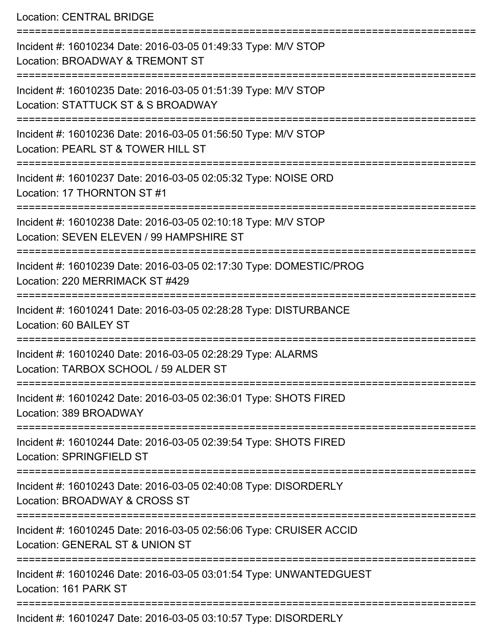Location: CENTRAL BRIDGE

| Incident #: 16010234 Date: 2016-03-05 01:49:33 Type: M/V STOP<br>Location: BROADWAY & TREMONT ST          |
|-----------------------------------------------------------------------------------------------------------|
| Incident #: 16010235 Date: 2016-03-05 01:51:39 Type: M/V STOP<br>Location: STATTUCK ST & S BROADWAY       |
| Incident #: 16010236 Date: 2016-03-05 01:56:50 Type: M/V STOP<br>Location: PEARL ST & TOWER HILL ST       |
| Incident #: 16010237 Date: 2016-03-05 02:05:32 Type: NOISE ORD<br>Location: 17 THORNTON ST #1             |
| Incident #: 16010238 Date: 2016-03-05 02:10:18 Type: M/V STOP<br>Location: SEVEN ELEVEN / 99 HAMPSHIRE ST |
| Incident #: 16010239 Date: 2016-03-05 02:17:30 Type: DOMESTIC/PROG<br>Location: 220 MERRIMACK ST #429     |
| Incident #: 16010241 Date: 2016-03-05 02:28:28 Type: DISTURBANCE<br>Location: 60 BAILEY ST                |
| Incident #: 16010240 Date: 2016-03-05 02:28:29 Type: ALARMS<br>Location: TARBOX SCHOOL / 59 ALDER ST      |
| Incident #: 16010242 Date: 2016-03-05 02:36:01 Type: SHOTS FIRED<br>Location: 389 BROADWAY                |
| Incident #: 16010244 Date: 2016-03-05 02:39:54 Type: SHOTS FIRED<br>Location: SPRINGFIELD ST              |
| Incident #: 16010243 Date: 2016-03-05 02:40:08 Type: DISORDERLY<br>Location: BROADWAY & CROSS ST          |
| Incident #: 16010245 Date: 2016-03-05 02:56:06 Type: CRUISER ACCID<br>Location: GENERAL ST & UNION ST     |
| Incident #: 16010246 Date: 2016-03-05 03:01:54 Type: UNWANTEDGUEST<br>Location: 161 PARK ST               |
| Incident #: 16010247 Date: 2016-03-05 03:10:57 Type: DISORDERLY                                           |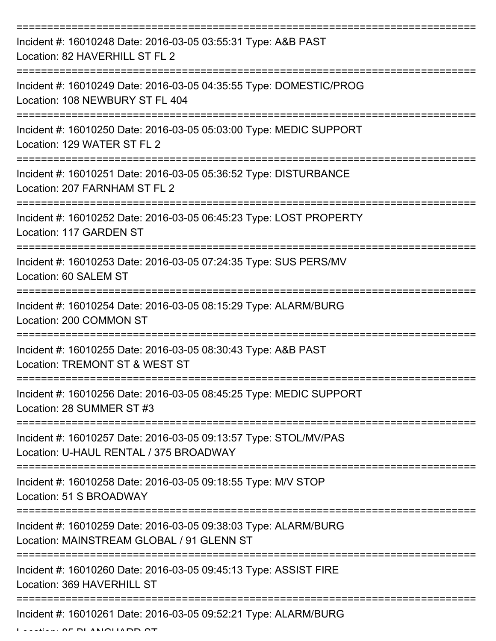| Incident #: 16010248 Date: 2016-03-05 03:55:31 Type: A&B PAST<br>Location: 82 HAVERHILL ST FL 2              |
|--------------------------------------------------------------------------------------------------------------|
| Incident #: 16010249 Date: 2016-03-05 04:35:55 Type: DOMESTIC/PROG<br>Location: 108 NEWBURY ST FL 404        |
| Incident #: 16010250 Date: 2016-03-05 05:03:00 Type: MEDIC SUPPORT<br>Location: 129 WATER ST FL 2            |
| Incident #: 16010251 Date: 2016-03-05 05:36:52 Type: DISTURBANCE<br>Location: 207 FARNHAM ST FL 2            |
| Incident #: 16010252 Date: 2016-03-05 06:45:23 Type: LOST PROPERTY<br>Location: 117 GARDEN ST                |
| Incident #: 16010253 Date: 2016-03-05 07:24:35 Type: SUS PERS/MV<br>Location: 60 SALEM ST                    |
| Incident #: 16010254 Date: 2016-03-05 08:15:29 Type: ALARM/BURG<br>Location: 200 COMMON ST                   |
| Incident #: 16010255 Date: 2016-03-05 08:30:43 Type: A&B PAST<br>Location: TREMONT ST & WEST ST              |
| Incident #: 16010256 Date: 2016-03-05 08:45:25 Type: MEDIC SUPPORT<br>Location: 28 SUMMER ST #3              |
| Incident #: 16010257 Date: 2016-03-05 09:13:57 Type: STOL/MV/PAS<br>Location: U-HAUL RENTAL / 375 BROADWAY   |
| Incident #: 16010258 Date: 2016-03-05 09:18:55 Type: M/V STOP<br>Location: 51 S BROADWAY                     |
| Incident #: 16010259 Date: 2016-03-05 09:38:03 Type: ALARM/BURG<br>Location: MAINSTREAM GLOBAL / 91 GLENN ST |
| Incident #: 16010260 Date: 2016-03-05 09:45:13 Type: ASSIST FIRE<br>Location: 369 HAVERHILL ST               |
| Incident #: 16010261 Date: 2016-03-05 09:52:21 Type: ALARM/BURG                                              |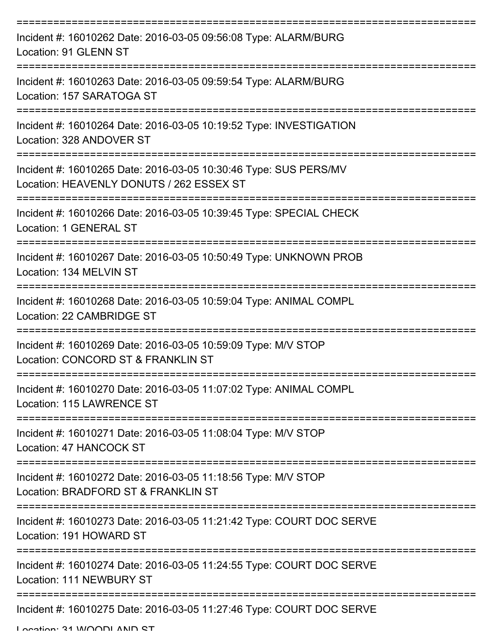| Incident #: 16010262 Date: 2016-03-05 09:56:08 Type: ALARM/BURG<br>Location: 91 GLENN ST                      |
|---------------------------------------------------------------------------------------------------------------|
| Incident #: 16010263 Date: 2016-03-05 09:59:54 Type: ALARM/BURG<br>Location: 157 SARATOGA ST                  |
| Incident #: 16010264 Date: 2016-03-05 10:19:52 Type: INVESTIGATION<br>Location: 328 ANDOVER ST                |
| Incident #: 16010265 Date: 2016-03-05 10:30:46 Type: SUS PERS/MV<br>Location: HEAVENLY DONUTS / 262 ESSEX ST  |
| Incident #: 16010266 Date: 2016-03-05 10:39:45 Type: SPECIAL CHECK<br><b>Location: 1 GENERAL ST</b>           |
| Incident #: 16010267 Date: 2016-03-05 10:50:49 Type: UNKNOWN PROB<br>Location: 134 MELVIN ST                  |
| Incident #: 16010268 Date: 2016-03-05 10:59:04 Type: ANIMAL COMPL<br>Location: 22 CAMBRIDGE ST<br>=========== |
| Incident #: 16010269 Date: 2016-03-05 10:59:09 Type: M/V STOP<br>Location: CONCORD ST & FRANKLIN ST           |
| Incident #: 16010270 Date: 2016-03-05 11:07:02 Type: ANIMAL COMPL<br>Location: 115 LAWRENCE ST                |
| Incident #: 16010271 Date: 2016-03-05 11:08:04 Type: M/V STOP<br>Location: 47 HANCOCK ST                      |
| Incident #: 16010272 Date: 2016-03-05 11:18:56 Type: M/V STOP<br>Location: BRADFORD ST & FRANKLIN ST          |
| Incident #: 16010273 Date: 2016-03-05 11:21:42 Type: COURT DOC SERVE<br>Location: 191 HOWARD ST               |
| Incident #: 16010274 Date: 2016-03-05 11:24:55 Type: COURT DOC SERVE<br>Location: 111 NEWBURY ST              |
| Incident #: 16010275 Date: 2016-03-05 11:27:46 Type: COURT DOC SERVE                                          |

Location: 21 WOODLAND ST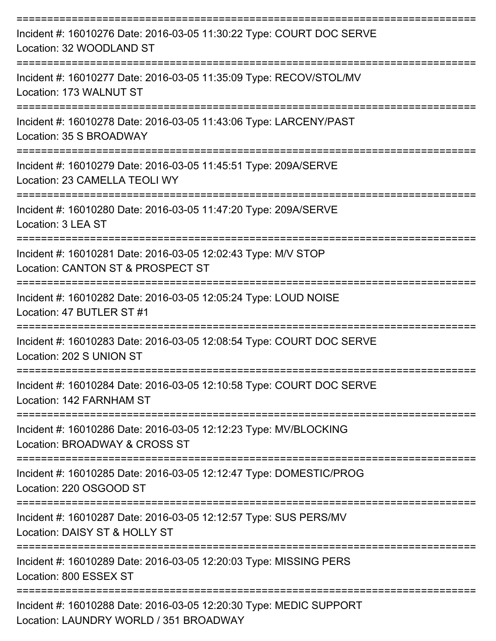| Incident #: 16010276 Date: 2016-03-05 11:30:22 Type: COURT DOC SERVE<br>Location: 32 WOODLAND ST                     |
|----------------------------------------------------------------------------------------------------------------------|
| Incident #: 16010277 Date: 2016-03-05 11:35:09 Type: RECOV/STOL/MV<br>Location: 173 WALNUT ST                        |
| Incident #: 16010278 Date: 2016-03-05 11:43:06 Type: LARCENY/PAST<br>Location: 35 S BROADWAY                         |
| Incident #: 16010279 Date: 2016-03-05 11:45:51 Type: 209A/SERVE<br>Location: 23 CAMELLA TEOLI WY                     |
| Incident #: 16010280 Date: 2016-03-05 11:47:20 Type: 209A/SERVE<br>Location: 3 LEA ST                                |
| Incident #: 16010281 Date: 2016-03-05 12:02:43 Type: M/V STOP<br>Location: CANTON ST & PROSPECT ST                   |
| Incident #: 16010282 Date: 2016-03-05 12:05:24 Type: LOUD NOISE<br>Location: 47 BUTLER ST #1                         |
| Incident #: 16010283 Date: 2016-03-05 12:08:54 Type: COURT DOC SERVE<br>Location: 202 S UNION ST                     |
| Incident #: 16010284 Date: 2016-03-05 12:10:58 Type: COURT DOC SERVE<br>Location: 142 FARNHAM ST<br>---------------- |
| Incident #: 16010286 Date: 2016-03-05 12:12:23 Type: MV/BLOCKING<br>Location: BROADWAY & CROSS ST                    |
| Incident #: 16010285 Date: 2016-03-05 12:12:47 Type: DOMESTIC/PROG<br>Location: 220 OSGOOD ST                        |
| Incident #: 16010287 Date: 2016-03-05 12:12:57 Type: SUS PERS/MV<br>Location: DAISY ST & HOLLY ST                    |
| Incident #: 16010289 Date: 2016-03-05 12:20:03 Type: MISSING PERS<br>Location: 800 ESSEX ST                          |
| Incident #: 16010288 Date: 2016-03-05 12:20:30 Type: MEDIC SUPPORT<br>Location: LAUNDRY WORLD / 351 BROADWAY         |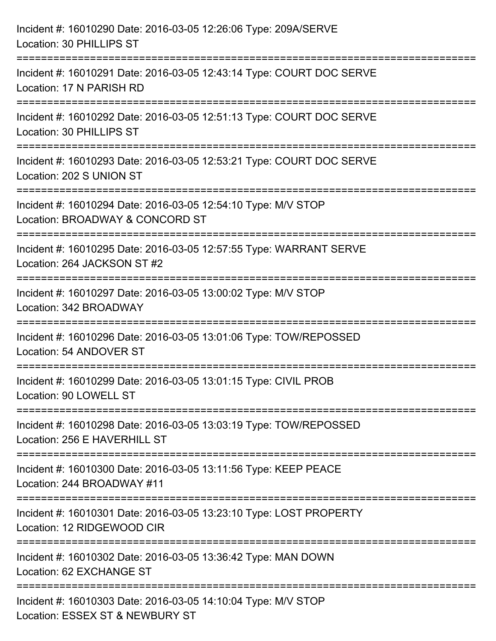| Incident #: 16010290 Date: 2016-03-05 12:26:06 Type: 209A/SERVE<br>Location: 30 PHILLIPS ST                                             |
|-----------------------------------------------------------------------------------------------------------------------------------------|
| Incident #: 16010291 Date: 2016-03-05 12:43:14 Type: COURT DOC SERVE<br>Location: 17 N PARISH RD                                        |
| Incident #: 16010292 Date: 2016-03-05 12:51:13 Type: COURT DOC SERVE<br>Location: 30 PHILLIPS ST                                        |
| Incident #: 16010293 Date: 2016-03-05 12:53:21 Type: COURT DOC SERVE<br>Location: 202 S UNION ST<br>.---------------------------------- |
| Incident #: 16010294 Date: 2016-03-05 12:54:10 Type: M/V STOP<br>Location: BROADWAY & CONCORD ST                                        |
| Incident #: 16010295 Date: 2016-03-05 12:57:55 Type: WARRANT SERVE<br>Location: 264 JACKSON ST #2                                       |
| Incident #: 16010297 Date: 2016-03-05 13:00:02 Type: M/V STOP<br>Location: 342 BROADWAY                                                 |
| Incident #: 16010296 Date: 2016-03-05 13:01:06 Type: TOW/REPOSSED<br>Location: 54 ANDOVER ST                                            |
| Incident #: 16010299 Date: 2016-03-05 13:01:15 Type: CIVIL PROB<br>Location: 90 LOWELL ST                                               |
| Incident #: 16010298 Date: 2016-03-05 13:03:19 Type: TOW/REPOSSED<br>Location: 256 E HAVERHILL ST                                       |
| Incident #: 16010300 Date: 2016-03-05 13:11:56 Type: KEEP PEACE<br>Location: 244 BROADWAY #11                                           |
| Incident #: 16010301 Date: 2016-03-05 13:23:10 Type: LOST PROPERTY<br>Location: 12 RIDGEWOOD CIR                                        |
| Incident #: 16010302 Date: 2016-03-05 13:36:42 Type: MAN DOWN<br>Location: 62 EXCHANGE ST                                               |
| Incident #: 16010303 Date: 2016-03-05 14:10:04 Type: M/V STOP<br>Location: ESSEX ST & NEWBURY ST                                        |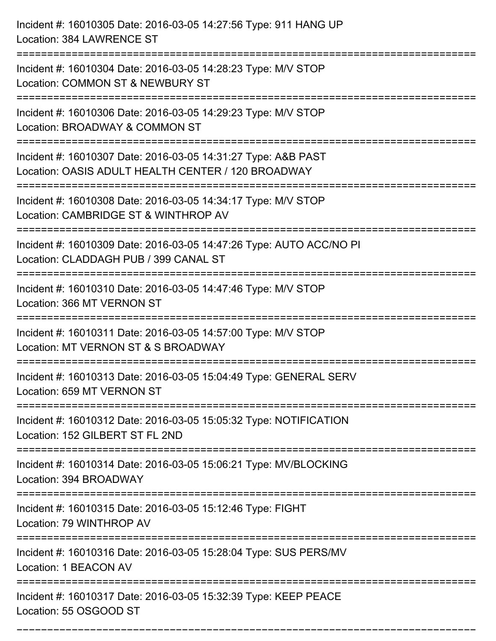| Incident #: 16010305 Date: 2016-03-05 14:27:56 Type: 911 HANG UP<br>Location: 384 LAWRENCE ST                                                                    |
|------------------------------------------------------------------------------------------------------------------------------------------------------------------|
| Incident #: 16010304 Date: 2016-03-05 14:28:23 Type: M/V STOP<br>Location: COMMON ST & NEWBURY ST                                                                |
| Incident #: 16010306 Date: 2016-03-05 14:29:23 Type: M/V STOP<br>Location: BROADWAY & COMMON ST                                                                  |
| Incident #: 16010307 Date: 2016-03-05 14:31:27 Type: A&B PAST<br>Location: OASIS ADULT HEALTH CENTER / 120 BROADWAY                                              |
| :====================================<br>==============<br>Incident #: 16010308 Date: 2016-03-05 14:34:17 Type: M/V STOP<br>Location: CAMBRIDGE ST & WINTHROP AV |
| Incident #: 16010309 Date: 2016-03-05 14:47:26 Type: AUTO ACC/NO PI<br>Location: CLADDAGH PUB / 399 CANAL ST                                                     |
| :======================<br>Incident #: 16010310 Date: 2016-03-05 14:47:46 Type: M/V STOP<br>Location: 366 MT VERNON ST                                           |
| Incident #: 16010311 Date: 2016-03-05 14:57:00 Type: M/V STOP<br>Location: MT VERNON ST & S BROADWAY                                                             |
| Incident #: 16010313 Date: 2016-03-05 15:04:49 Type: GENERAL SERV<br>Location: 659 MT VERNON ST                                                                  |
| Incident #: 16010312 Date: 2016-03-05 15:05:32 Type: NOTIFICATION<br>Location: 152 GILBERT ST FL 2ND                                                             |
| Incident #: 16010314 Date: 2016-03-05 15:06:21 Type: MV/BLOCKING<br>Location: 394 BROADWAY                                                                       |
| Incident #: 16010315 Date: 2016-03-05 15:12:46 Type: FIGHT<br>Location: 79 WINTHROP AV                                                                           |
| Incident #: 16010316 Date: 2016-03-05 15:28:04 Type: SUS PERS/MV<br>Location: 1 BEACON AV                                                                        |
| Incident #: 16010317 Date: 2016-03-05 15:32:39 Type: KEEP PEACE<br>Location: 55 OSGOOD ST                                                                        |

===========================================================================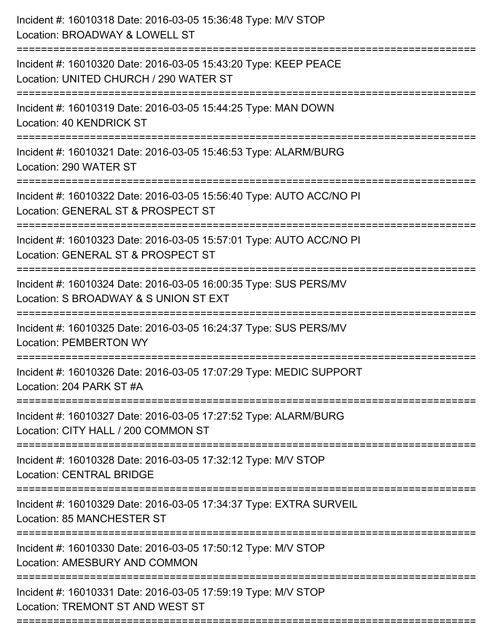| Incident #: 16010318 Date: 2016-03-05 15:36:48 Type: M/V STOP<br>Location: BROADWAY & LOWELL ST                                                  |
|--------------------------------------------------------------------------------------------------------------------------------------------------|
| Incident #: 16010320 Date: 2016-03-05 15:43:20 Type: KEEP PEACE<br>Location: UNITED CHURCH / 290 WATER ST                                        |
| Incident #: 16010319 Date: 2016-03-05 15:44:25 Type: MAN DOWN<br>Location: 40 KENDRICK ST<br>=======================                             |
| Incident #: 16010321 Date: 2016-03-05 15:46:53 Type: ALARM/BURG<br>Location: 290 WATER ST                                                        |
| Incident #: 16010322 Date: 2016-03-05 15:56:40 Type: AUTO ACC/NO PI<br>Location: GENERAL ST & PROSPECT ST                                        |
| Incident #: 16010323 Date: 2016-03-05 15:57:01 Type: AUTO ACC/NO PI<br>Location: GENERAL ST & PROSPECT ST                                        |
| Incident #: 16010324 Date: 2016-03-05 16:00:35 Type: SUS PERS/MV<br>Location: S BROADWAY & S UNION ST EXT<br>=================================== |
| Incident #: 16010325 Date: 2016-03-05 16:24:37 Type: SUS PERS/MV<br><b>Location: PEMBERTON WY</b>                                                |
| Incident #: 16010326 Date: 2016-03-05 17:07:29 Type: MEDIC SUPPORT<br>Location: 204 PARK ST #A                                                   |
| Incident #: 16010327 Date: 2016-03-05 17:27:52 Type: ALARM/BURG<br>Location: CITY HALL / 200 COMMON ST                                           |
| Incident #: 16010328 Date: 2016-03-05 17:32:12 Type: M/V STOP<br><b>Location: CENTRAL BRIDGE</b>                                                 |
| Incident #: 16010329 Date: 2016-03-05 17:34:37 Type: EXTRA SURVEIL<br>Location: 85 MANCHESTER ST                                                 |
| Incident #: 16010330 Date: 2016-03-05 17:50:12 Type: M/V STOP<br>Location: AMESBURY AND COMMON                                                   |
| Incident #: 16010331 Date: 2016-03-05 17:59:19 Type: M/V STOP<br>Location: TREMONT ST AND WEST ST                                                |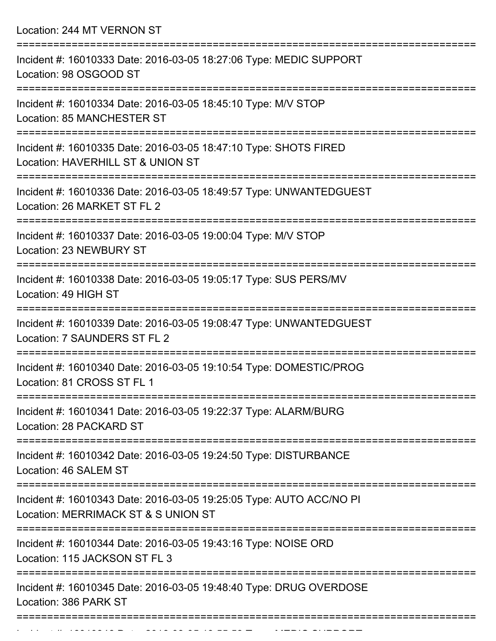Location: 244 MT VERNON ST

| Incident #: 16010333 Date: 2016-03-05 18:27:06 Type: MEDIC SUPPORT<br>Location: 98 OSGOOD ST                                      |
|-----------------------------------------------------------------------------------------------------------------------------------|
| Incident #: 16010334 Date: 2016-03-05 18:45:10 Type: M/V STOP<br>Location: 85 MANCHESTER ST                                       |
| Incident #: 16010335 Date: 2016-03-05 18:47:10 Type: SHOTS FIRED<br>Location: HAVERHILL ST & UNION ST                             |
| Incident #: 16010336 Date: 2016-03-05 18:49:57 Type: UNWANTEDGUEST<br>Location: 26 MARKET ST FL 2                                 |
| Incident #: 16010337 Date: 2016-03-05 19:00:04 Type: M/V STOP<br>Location: 23 NEWBURY ST                                          |
| Incident #: 16010338 Date: 2016-03-05 19:05:17 Type: SUS PERS/MV<br>Location: 49 HIGH ST<br>:==================================== |
| Incident #: 16010339 Date: 2016-03-05 19:08:47 Type: UNWANTEDGUEST<br>Location: 7 SAUNDERS ST FL 2                                |
| Incident #: 16010340 Date: 2016-03-05 19:10:54 Type: DOMESTIC/PROG<br>Location: 81 CROSS ST FL 1                                  |
| Incident #: 16010341 Date: 2016-03-05 19:22:37 Type: ALARM/BURG<br>Location: 28 PACKARD ST                                        |
| Incident #: 16010342 Date: 2016-03-05 19:24:50 Type: DISTURBANCE<br>Location: 46 SALEM ST                                         |
| Incident #: 16010343 Date: 2016-03-05 19:25:05 Type: AUTO ACC/NO PI<br>Location: MERRIMACK ST & S UNION ST                        |
| Incident #: 16010344 Date: 2016-03-05 19:43:16 Type: NOISE ORD<br>Location: 115 JACKSON ST FL 3                                   |
| Incident #: 16010345 Date: 2016-03-05 19:48:40 Type: DRUG OVERDOSE<br>Location: 386 PARK ST                                       |
|                                                                                                                                   |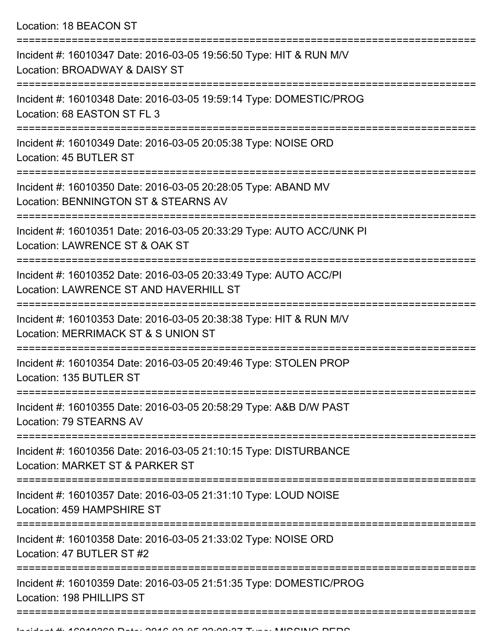Location: 18 BEACON ST

| Incident #: 16010347 Date: 2016-03-05 19:56:50 Type: HIT & RUN M/V<br>Location: BROADWAY & DAISY ST        |
|------------------------------------------------------------------------------------------------------------|
| Incident #: 16010348 Date: 2016-03-05 19:59:14 Type: DOMESTIC/PROG<br>Location: 68 EASTON ST FL 3          |
| Incident #: 16010349 Date: 2016-03-05 20:05:38 Type: NOISE ORD<br>Location: 45 BUTLER ST                   |
| Incident #: 16010350 Date: 2016-03-05 20:28:05 Type: ABAND MV<br>Location: BENNINGTON ST & STEARNS AV      |
| Incident #: 16010351 Date: 2016-03-05 20:33:29 Type: AUTO ACC/UNK PI<br>Location: LAWRENCE ST & OAK ST     |
| Incident #: 16010352 Date: 2016-03-05 20:33:49 Type: AUTO ACC/PI<br>Location: LAWRENCE ST AND HAVERHILL ST |
| Incident #: 16010353 Date: 2016-03-05 20:38:38 Type: HIT & RUN M/V<br>Location: MERRIMACK ST & S UNION ST  |
| Incident #: 16010354 Date: 2016-03-05 20:49:46 Type: STOLEN PROP<br>Location: 135 BUTLER ST                |
| Incident #: 16010355 Date: 2016-03-05 20:58:29 Type: A&B D/W PAST<br>Location: 79 STEARNS AV               |
| Incident #: 16010356 Date: 2016-03-05 21:10:15 Type: DISTURBANCE<br>Location: MARKET ST & PARKER ST        |
| Incident #: 16010357 Date: 2016-03-05 21:31:10 Type: LOUD NOISE<br>Location: 459 HAMPSHIRE ST              |
| Incident #: 16010358 Date: 2016-03-05 21:33:02 Type: NOISE ORD<br>Location: 47 BUTLER ST #2                |
| Incident #: 16010359 Date: 2016-03-05 21:51:35 Type: DOMESTIC/PROG<br>Location: 198 PHILLIPS ST            |
|                                                                                                            |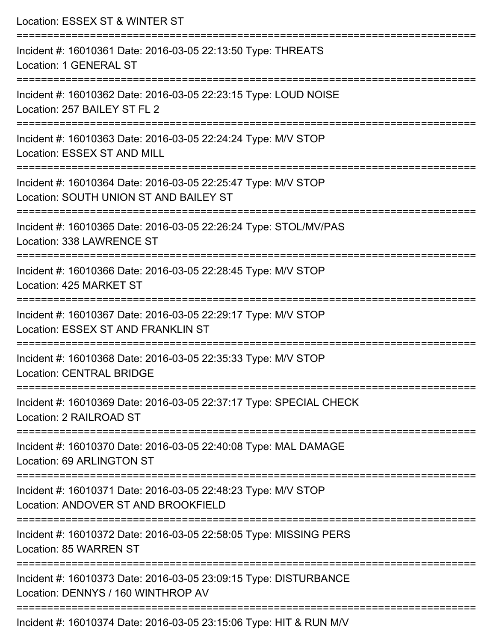| Location: ESSEX ST & WINTER ST                                                                                                |
|-------------------------------------------------------------------------------------------------------------------------------|
| Incident #: 16010361 Date: 2016-03-05 22:13:50 Type: THREATS<br>Location: 1 GENERAL ST<br>==========================          |
| Incident #: 16010362 Date: 2016-03-05 22:23:15 Type: LOUD NOISE<br>Location: 257 BAILEY ST FL 2                               |
| Incident #: 16010363 Date: 2016-03-05 22:24:24 Type: M/V STOP<br>Location: ESSEX ST AND MILL                                  |
| ================<br>Incident #: 16010364 Date: 2016-03-05 22:25:47 Type: M/V STOP<br>Location: SOUTH UNION ST AND BAILEY ST   |
| Incident #: 16010365 Date: 2016-03-05 22:26:24 Type: STOL/MV/PAS<br>Location: 338 LAWRENCE ST                                 |
| :================================<br>Incident #: 16010366 Date: 2016-03-05 22:28:45 Type: M/V STOP<br>Location: 425 MARKET ST |
| Incident #: 16010367 Date: 2016-03-05 22:29:17 Type: M/V STOP<br>Location: ESSEX ST AND FRANKLIN ST                           |
| Incident #: 16010368 Date: 2016-03-05 22:35:33 Type: M/V STOP<br><b>Location: CENTRAL BRIDGE</b>                              |
| Incident #: 16010369 Date: 2016-03-05 22:37:17 Type: SPECIAL CHECK<br>Location: 2 RAILROAD ST                                 |
| Incident #: 16010370 Date: 2016-03-05 22:40:08 Type: MAL DAMAGE<br><b>Location: 69 ARLINGTON ST</b>                           |
| Incident #: 16010371 Date: 2016-03-05 22:48:23 Type: M/V STOP<br>Location: ANDOVER ST AND BROOKFIELD                          |
| Incident #: 16010372 Date: 2016-03-05 22:58:05 Type: MISSING PERS<br>Location: 85 WARREN ST                                   |
| Incident #: 16010373 Date: 2016-03-05 23:09:15 Type: DISTURBANCE<br>Location: DENNYS / 160 WINTHROP AV                        |
| Incident #: 16010374 Date: 2016-03-05 23:15:06 Type: HIT & RUN M/V                                                            |